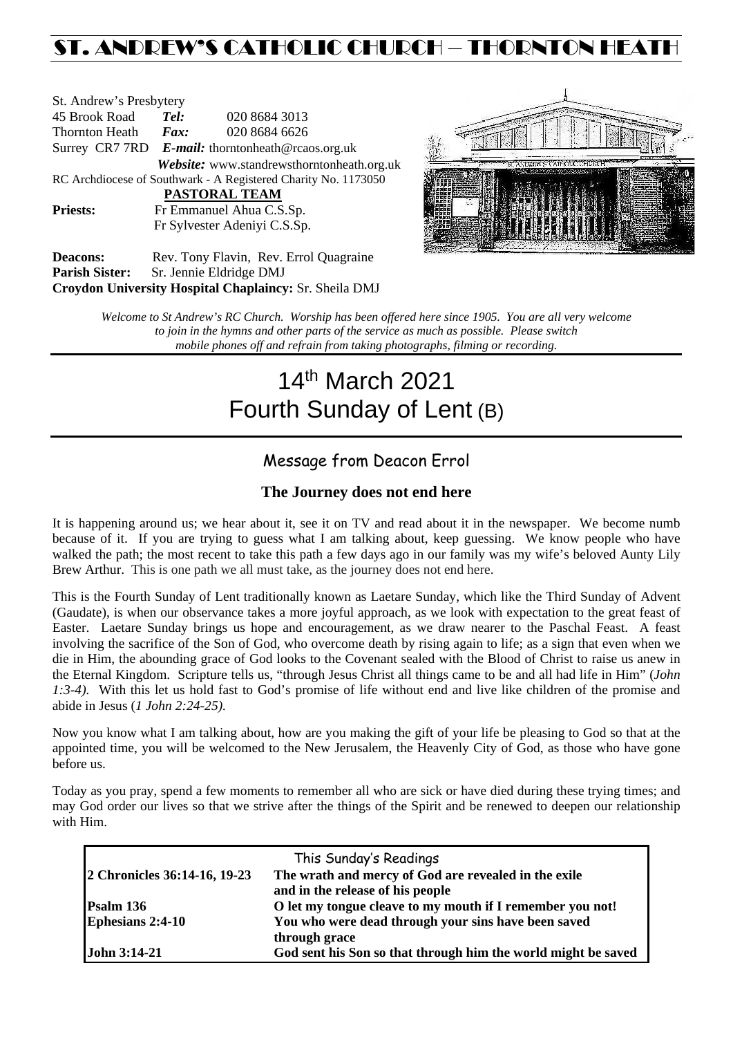## ST. ANDREW'S CATHOLIC CHURCH – THORNTON HEAT

| St. Andrew's Presbytery                                        |                                                   |                                            |  |  |  |  |
|----------------------------------------------------------------|---------------------------------------------------|--------------------------------------------|--|--|--|--|
| 45 Brook Road                                                  | Tel:                                              | 020 8684 3013                              |  |  |  |  |
| Thornton Heath                                                 | Fax:                                              | 020 8684 6626                              |  |  |  |  |
|                                                                | Surrey CR7 7RD E-mail: thorntonheath@rcaos.org.uk |                                            |  |  |  |  |
|                                                                |                                                   | Website: www.standrewsthorntonheath.org.uk |  |  |  |  |
| RC Archdiocese of Southwark - A Registered Charity No. 1173050 |                                                   |                                            |  |  |  |  |
| PASTORAL TEAM                                                  |                                                   |                                            |  |  |  |  |
| <b>Priests:</b>                                                | Fr Emmanuel Ahua C.S.Sp.                          |                                            |  |  |  |  |
| Fr Sylvester Adeniyi C.S.Sp.                                   |                                                   |                                            |  |  |  |  |
| Deacons:                                                       |                                                   | Rev. Tony Flavin. Rev. Errol Quagraine.    |  |  |  |  |



Deacons: Rev. Tony Flavin, Rev. Errol Quagraine **Parish Sister:** Sr. Jennie Eldridge DMJ **Croydon University Hospital Chaplaincy:** Sr. Sheila DMJ

> *Welcome to St Andrew's RC Church. Worship has been offered here since 1905. You are all very welcome to join in the hymns and other parts of the service as much as possible. Please switch mobile phones off and refrain from taking photographs, filming or recording.*

# 14th March 2021 Fourth Sunday of Lent (B)

## Message from Deacon Errol

#### **The Journey does not end here**

It is happening around us; we hear about it, see it on TV and read about it in the newspaper. We become numb because of it. If you are trying to guess what I am talking about, keep guessing. We know people who have walked the path; the most recent to take this path a few days ago in our family was my wife's beloved Aunty Lily Brew Arthur. This is one path we all must take, as the journey does not end here.

This is the Fourth Sunday of Lent traditionally known as Laetare Sunday, which like the Third Sunday of Advent (Gaudate), is when our observance takes a more joyful approach, as we look with expectation to the great feast of Easter. Laetare Sunday brings us hope and encouragement, as we draw nearer to the Paschal Feast. A feast involving the sacrifice of the Son of God, who overcome death by rising again to life; as a sign that even when we die in Him, the abounding grace of God looks to the Covenant sealed with the Blood of Christ to raise us anew in the Eternal Kingdom. Scripture tells us, "through Jesus Christ all things came to be and all had life in Him" (*John 1:3-4).* With this let us hold fast to God's promise of life without end and live like children of the promise and abide in Jesus (*1 John 2:24-25).*

Now you know what I am talking about, how are you making the gift of your life be pleasing to God so that at the appointed time, you will be welcomed to the New Jerusalem, the Heavenly City of God, as those who have gone before us.

Today as you pray, spend a few moments to remember all who are sick or have died during these trying times; and may God order our lives so that we strive after the things of the Spirit and be renewed to deepen our relationship with Him.

|                              | This Sunday's Readings                                        |
|------------------------------|---------------------------------------------------------------|
| 2 Chronicles 36:14-16, 19-23 | The wrath and mercy of God are revealed in the exile          |
|                              | and in the release of his people                              |
| Psalm 136                    | O let my tongue cleave to my mouth if I remember you not!     |
| <b>Ephesians 2:4-10</b>      | You who were dead through your sins have been saved           |
|                              | through grace                                                 |
| <b>John 3:14-21</b>          | God sent his Son so that through him the world might be saved |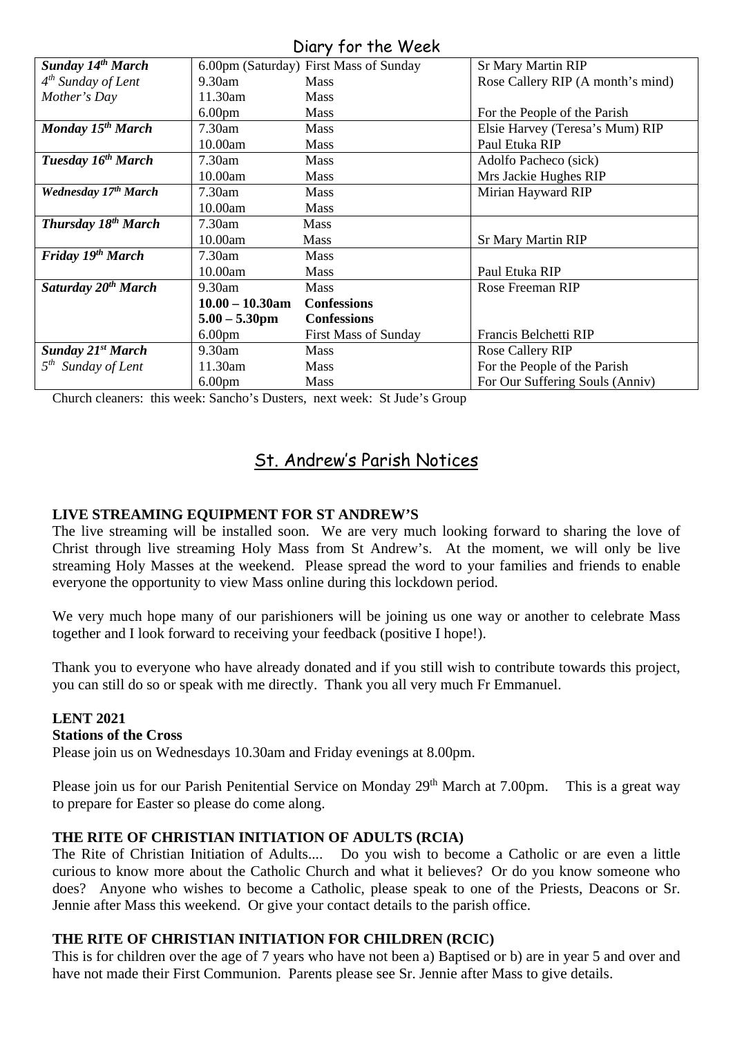### Diary for the Week

|                                 |                    | $1011$ , $1011101$                     |                                   |
|---------------------------------|--------------------|----------------------------------------|-----------------------------------|
| <b>Sunday 14th March</b>        |                    | 6.00pm (Saturday) First Mass of Sunday | <b>Sr Mary Martin RIP</b>         |
| $4th$ Sunday of Lent            | $9.30$ am          | <b>Mass</b>                            | Rose Callery RIP (A month's mind) |
| Mother's Day                    | 11.30am            | Mass                                   |                                   |
|                                 | 6.00 <sub>pm</sub> | Mass                                   | For the People of the Parish      |
| Monday 15 <sup>th</sup> March   | 7.30am             | Mass                                   | Elsie Harvey (Teresa's Mum) RIP   |
|                                 | 10.00am            | <b>Mass</b>                            | Paul Etuka RIP                    |
| Tuesday 16 <sup>th</sup> March  | 7.30am             | Mass                                   | Adolfo Pacheco (sick)             |
|                                 | 10.00am            | <b>Mass</b>                            | Mrs Jackie Hughes RIP             |
| Wednesday 17th March            | 7.30am             | <b>Mass</b>                            | Mirian Hayward RIP                |
|                                 | 10.00am            | <b>Mass</b>                            |                                   |
| <b>Thursday 18th March</b>      | 7.30am             | <b>Mass</b>                            |                                   |
|                                 | 10.00am            | <b>Mass</b>                            | <b>Sr Mary Martin RIP</b>         |
| Friday 19th March               | 7.30am             | <b>Mass</b>                            |                                   |
|                                 | 10.00am            | <b>Mass</b>                            | Paul Etuka RIP                    |
| Saturday 20 <sup>th</sup> March | $9.30$ am          | <b>Mass</b>                            | Rose Freeman RIP                  |
|                                 | $10.00 - 10.30$ am | <b>Confessions</b>                     |                                   |
|                                 | $5.00 - 5.30$ pm   | <b>Confessions</b>                     |                                   |
|                                 | 6.00 <sub>pm</sub> | <b>First Mass of Sunday</b>            | Francis Belchetti RIP             |
| <b>Sunday 21st March</b>        | 9.30am             | <b>Mass</b>                            | <b>Rose Callery RIP</b>           |
| $5th$ Sunday of Lent            | 11.30am            | <b>Mass</b>                            | For the People of the Parish      |
|                                 | 6.00 <sub>pm</sub> | Mass                                   | For Our Suffering Souls (Anniv)   |

Church cleaners: this week: Sancho's Dusters, next week: St Jude's Group

## St. Andrew's Parish Notices

#### **LIVE STREAMING EQUIPMENT FOR ST ANDREW'S**

The live streaming will be installed soon. We are very much looking forward to sharing the love of Christ through live streaming Holy Mass from St Andrew's. At the moment, we will only be live streaming Holy Masses at the weekend. Please spread the word to your families and friends to enable everyone the opportunity to view Mass online during this lockdown period.

We very much hope many of our parishioners will be joining us one way or another to celebrate Mass together and I look forward to receiving your feedback (positive I hope!).

Thank you to everyone who have already donated and if you still wish to contribute towards this project, you can still do so or speak with me directly. Thank you all very much Fr Emmanuel.

## **LENT 2021**

#### **Stations of the Cross**

Please join us on Wednesdays 10.30am and Friday evenings at 8.00pm.

Please join us for our Parish Penitential Service on Monday 29<sup>th</sup> March at 7.00pm. This is a great way to prepare for Easter so please do come along.

#### **THE RITE OF CHRISTIAN INITIATION OF ADULTS (RCIA)**

The Rite of Christian Initiation of Adults.... Do you wish to become a Catholic or are even a little curious to know more about the Catholic Church and what it believes? Or do you know someone who does? Anyone who wishes to become a Catholic, please speak to one of the Priests, Deacons or Sr. Jennie after Mass this weekend. Or give your contact details to the parish office.

#### **THE RITE OF CHRISTIAN INITIATION FOR CHILDREN (RCIC)**

This is for children over the age of 7 years who have not been a) Baptised or b) are in year 5 and over and have not made their First Communion. Parents please see Sr. Jennie after Mass to give details.